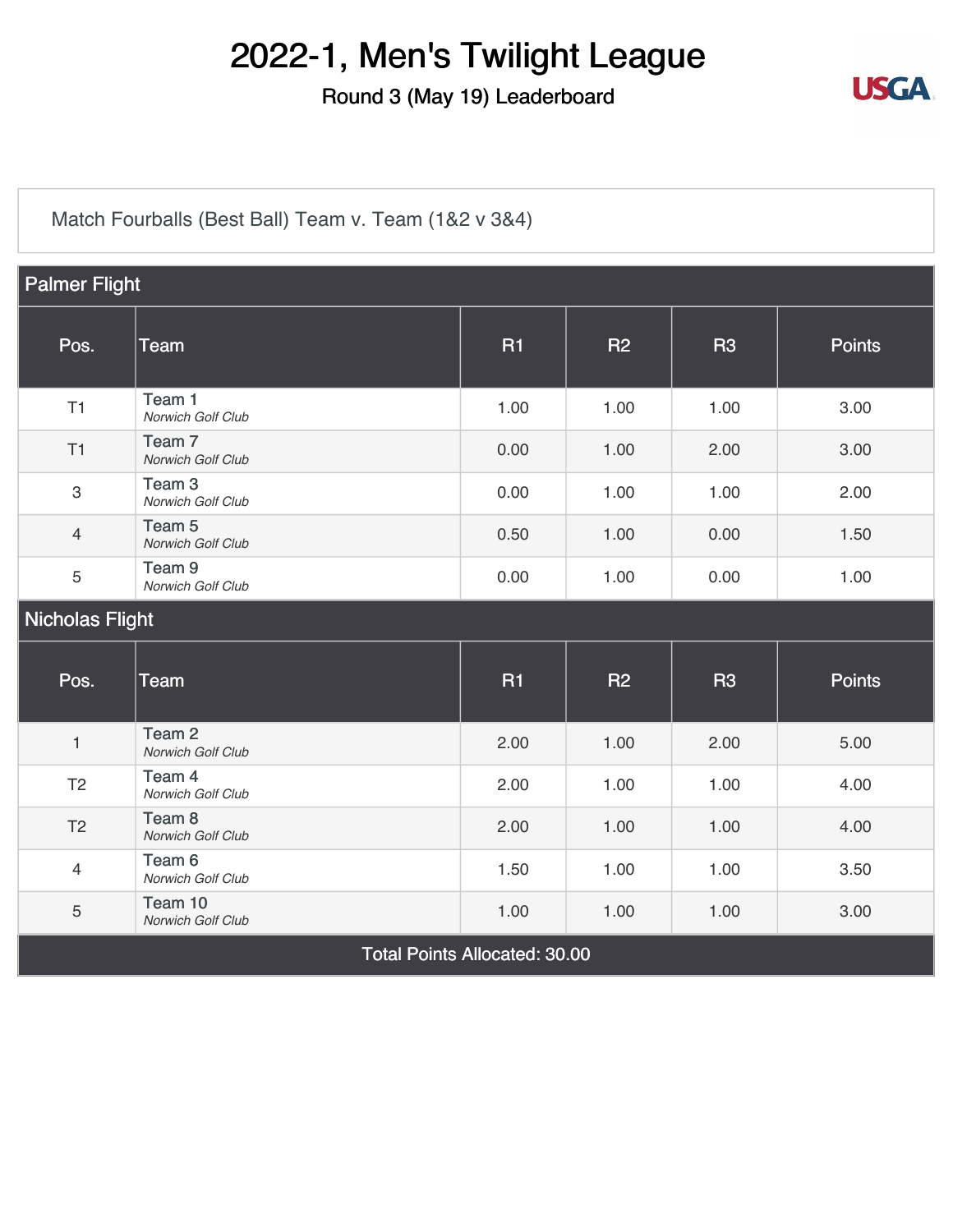#### Round 3 (May 19) Leaderboard



[Match Fourballs \(Best Ball\) Team v. Team \(1&2 v 3&4\)](https://static.golfgenius.com/v2tournaments/8326500825769738993?called_from=&round_index=3)

| <b>Palmer Flight</b>                 |                                        |           |           |           |               |
|--------------------------------------|----------------------------------------|-----------|-----------|-----------|---------------|
| Pos.                                 | <b>Team</b>                            | <b>R1</b> | <b>R2</b> | <b>R3</b> | <b>Points</b> |
| T1                                   | Team 1<br>Norwich Golf Club            | 1.00      | 1.00      | 1.00      | 3.00          |
| T1                                   | Team <sub>7</sub><br>Norwich Golf Club | 0.00      | 1.00      | 2.00      | 3.00          |
| $\mathbf{3}$                         | Team <sub>3</sub><br>Norwich Golf Club | 0.00      | 1.00      | 1.00      | 2.00          |
| $\overline{4}$                       | Team <sub>5</sub><br>Norwich Golf Club | 0.50      | 1.00      | 0.00      | 1.50          |
| $\sqrt{5}$                           | Team <sub>9</sub><br>Norwich Golf Club | 0.00      | 1.00      | 0.00      | 1.00          |
| Nicholas Flight                      |                                        |           |           |           |               |
| Pos.                                 | <b>Team</b>                            | <b>R1</b> | <b>R2</b> | <b>R3</b> | <b>Points</b> |
| $\mathbf{1}$                         | Team <sub>2</sub><br>Norwich Golf Club | 2.00      | 1.00      | 2.00      | 5.00          |
| T <sub>2</sub>                       | Team 4<br>Norwich Golf Club            | 2.00      | 1.00      | 1.00      | 4.00          |
| T <sub>2</sub>                       | Team <sub>8</sub><br>Norwich Golf Club | 2.00      | 1.00      | 1.00      | 4.00          |
| $\overline{4}$                       | Team 6<br>Norwich Golf Club            | 1.50      | 1.00      | 1.00      | 3.50          |
| $\overline{5}$                       | Team 10<br>Norwich Golf Club           | 1.00      | 1.00      | 1.00      | 3.00          |
| <b>Total Points Allocated: 30.00</b> |                                        |           |           |           |               |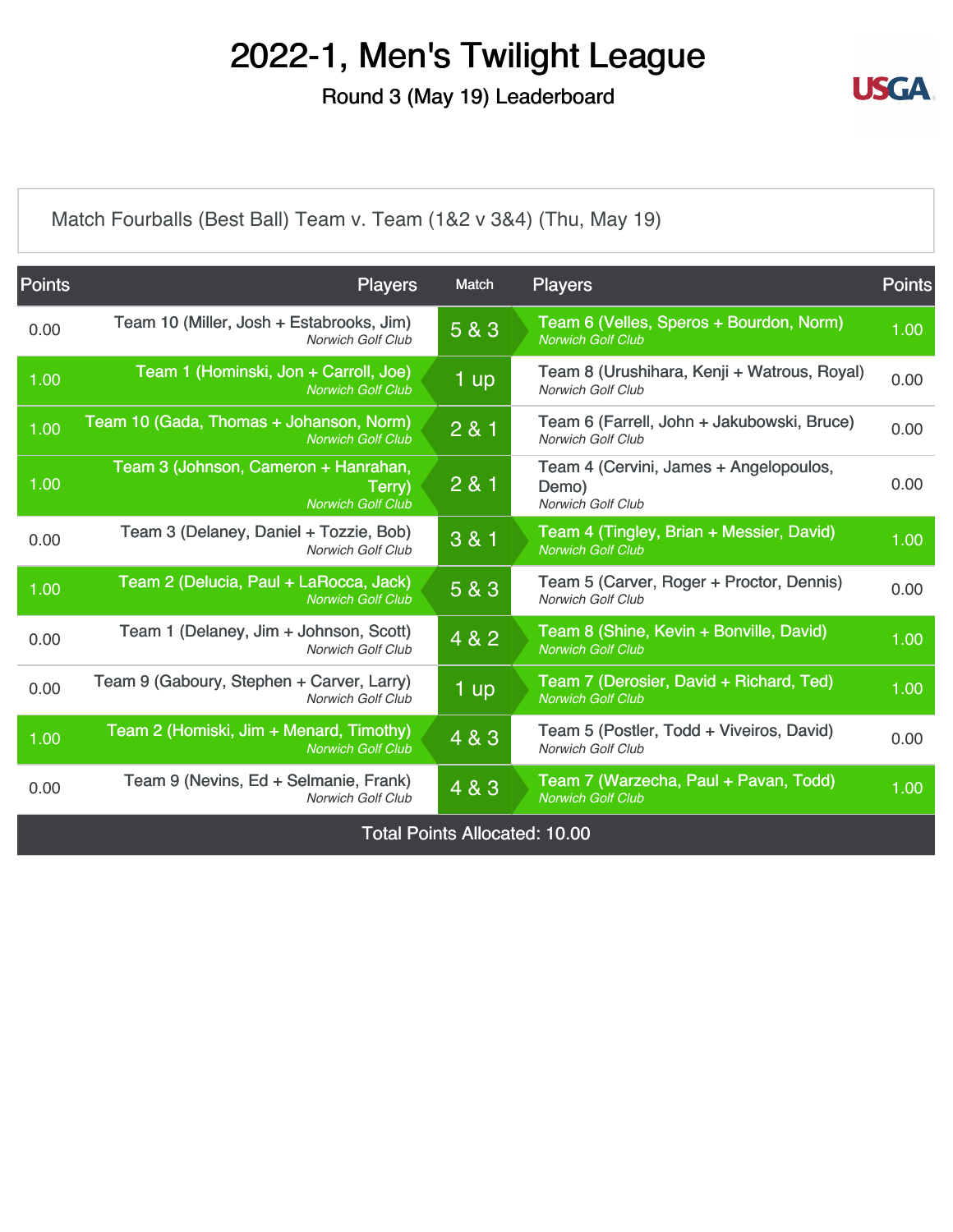Round 3 (May 19) Leaderboard



[Match Fourballs \(Best Ball\) Team v. Team \(1&2 v 3&4\) \(Thu, May 19\)](https://static.golfgenius.com/v2tournaments/8326500833889911540?called_from=&round_index=3)

| <b>Points</b>                        | <b>Players</b>                                                             | Match | <b>Players</b>                                                              | <b>Points</b> |  |
|--------------------------------------|----------------------------------------------------------------------------|-------|-----------------------------------------------------------------------------|---------------|--|
| 0.00                                 | Team 10 (Miller, Josh + Estabrooks, Jim)<br>Norwich Golf Club              | 5 & 3 | Team 6 (Velles, Speros + Bourdon, Norm)<br><b>Norwich Golf Club</b>         | 1.00          |  |
| 1.00                                 | Team 1 (Hominski, Jon + Carroll, Joe)<br><b>Norwich Golf Club</b>          | 1 up  | Team 8 (Urushihara, Kenji + Watrous, Royal)<br><b>Norwich Golf Club</b>     | 0.00          |  |
| 1.00                                 | Team 10 (Gada, Thomas + Johanson, Norm)<br><b>Norwich Golf Club</b>        | 281   | Team 6 (Farrell, John + Jakubowski, Bruce)<br><b>Norwich Golf Club</b>      | 0.00          |  |
| 1.00                                 | Team 3 (Johnson, Cameron + Hanrahan,<br>Terry)<br><b>Norwich Golf Club</b> | 2 & 1 | Team 4 (Cervini, James + Angelopoulos,<br>Demo)<br><b>Norwich Golf Club</b> | 0.00          |  |
| 0.00                                 | Team 3 (Delaney, Daniel + Tozzie, Bob)<br><b>Norwich Golf Club</b>         | 3 & 1 | Team 4 (Tingley, Brian + Messier, David)<br><b>Norwich Golf Club</b>        | 1.00          |  |
| 1.00                                 | Team 2 (Delucia, Paul + LaRocca, Jack)<br><b>Norwich Golf Club</b>         | 5 & 3 | Team 5 (Carver, Roger + Proctor, Dennis)<br><b>Norwich Golf Club</b>        | 0.00          |  |
| 0.00                                 | Team 1 (Delaney, Jim + Johnson, Scott)<br>Norwich Golf Club                | 4 & 2 | Team 8 (Shine, Kevin + Bonville, David)<br><b>Norwich Golf Club</b>         | 1.00          |  |
| 0.00                                 | Team 9 (Gaboury, Stephen + Carver, Larry)<br><b>Norwich Golf Club</b>      | 1 up  | Team 7 (Derosier, David + Richard, Ted)<br><b>Norwich Golf Club</b>         | 1.00          |  |
| 1.00                                 | Team 2 (Homiski, Jim + Menard, Timothy)<br><b>Norwich Golf Club</b>        | 4 & 3 | Team 5 (Postler, Todd + Viveiros, David)<br><b>Norwich Golf Club</b>        | 0.00          |  |
| 0.00                                 | Team 9 (Nevins, Ed + Selmanie, Frank)<br><b>Norwich Golf Club</b>          | 4 & 3 | Team 7 (Warzecha, Paul + Pavan, Todd)<br><b>Norwich Golf Club</b>           | 1.00          |  |
| <b>Total Points Allocated: 10.00</b> |                                                                            |       |                                                                             |               |  |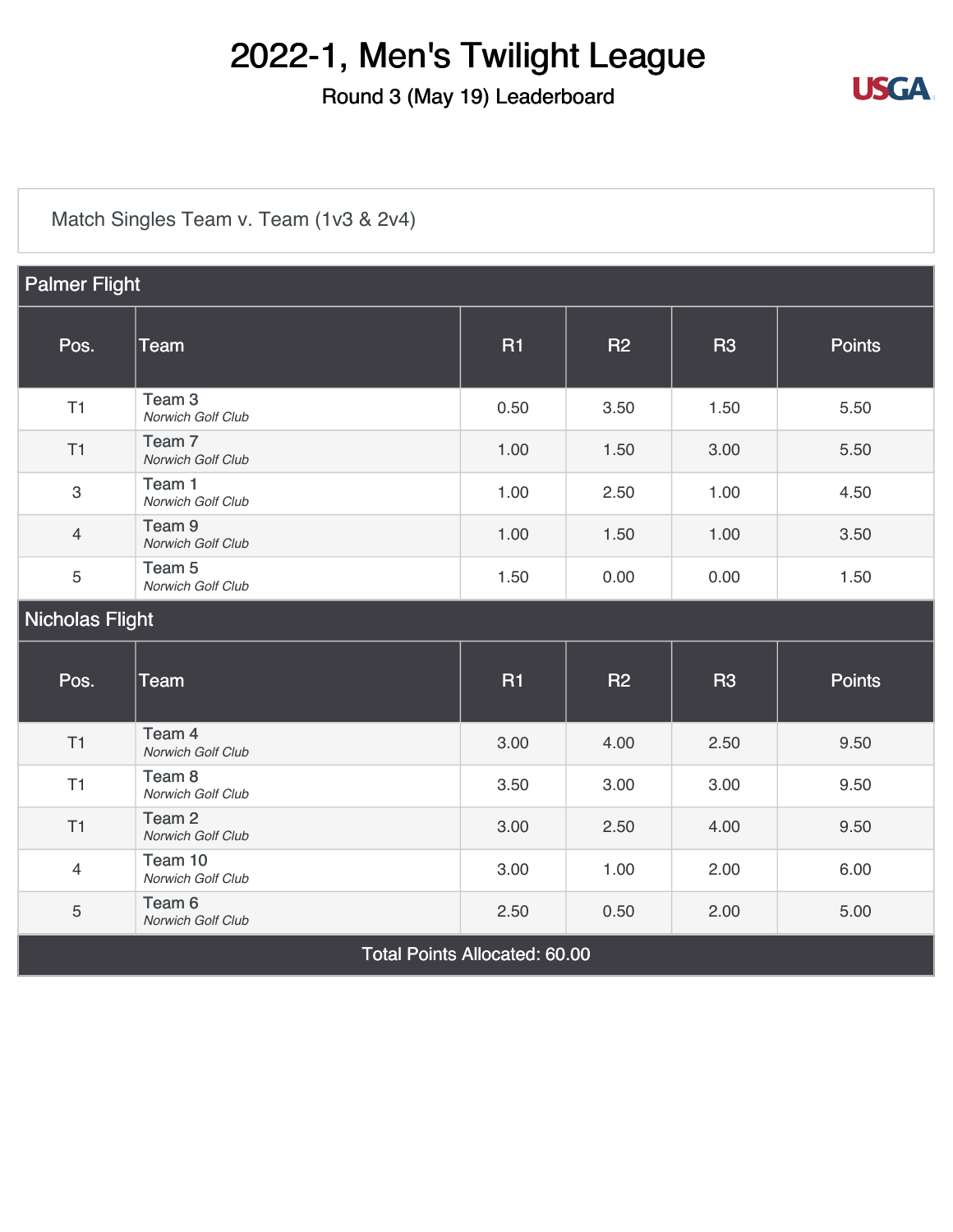### Round 3 (May 19) Leaderboard



[Match Singles Team v. Team \(1v3 & 2v4\)](https://static.golfgenius.com/v2tournaments/8326500891972633342?called_from=&round_index=3)

| <b>Palmer Flight</b>                 |                                        |           |           |           |               |
|--------------------------------------|----------------------------------------|-----------|-----------|-----------|---------------|
| Pos.                                 | <b>Team</b>                            | <b>R1</b> | <b>R2</b> | <b>R3</b> | <b>Points</b> |
| T1                                   | Team <sub>3</sub><br>Norwich Golf Club | 0.50      | 3.50      | 1.50      | 5.50          |
| T1                                   | Team <sub>7</sub><br>Norwich Golf Club | 1.00      | 1.50      | 3.00      | 5.50          |
| $\mathsf 3$                          | Team 1<br>Norwich Golf Club            | 1.00      | 2.50      | 1.00      | 4.50          |
| $\overline{4}$                       | Team <sub>9</sub><br>Norwich Golf Club | 1.00      | 1.50      | 1.00      | 3.50          |
| 5                                    | Team 5<br>Norwich Golf Club            | 1.50      | 0.00      | 0.00      | 1.50          |
| <b>Nicholas Flight</b>               |                                        |           |           |           |               |
| Pos.                                 | Team                                   | <b>R1</b> | <b>R2</b> | <b>R3</b> | <b>Points</b> |
| T1                                   | Team 4<br>Norwich Golf Club            | 3.00      | 4.00      | 2.50      | 9.50          |
| T1                                   | Team 8<br>Norwich Golf Club            | 3.50      | 3.00      | 3.00      | 9.50          |
| T1                                   | Team <sub>2</sub><br>Norwich Golf Club | 3.00      | 2.50      | 4.00      | 9.50          |
| $\overline{4}$                       | Team 10<br>Norwich Golf Club           | 3.00      | 1.00      | 2.00      | 6.00          |
| $\mathbf 5$                          | Team 6<br>Norwich Golf Club            | 2.50      | 0.50      | 2.00      | 5.00          |
| <b>Total Points Allocated: 60.00</b> |                                        |           |           |           |               |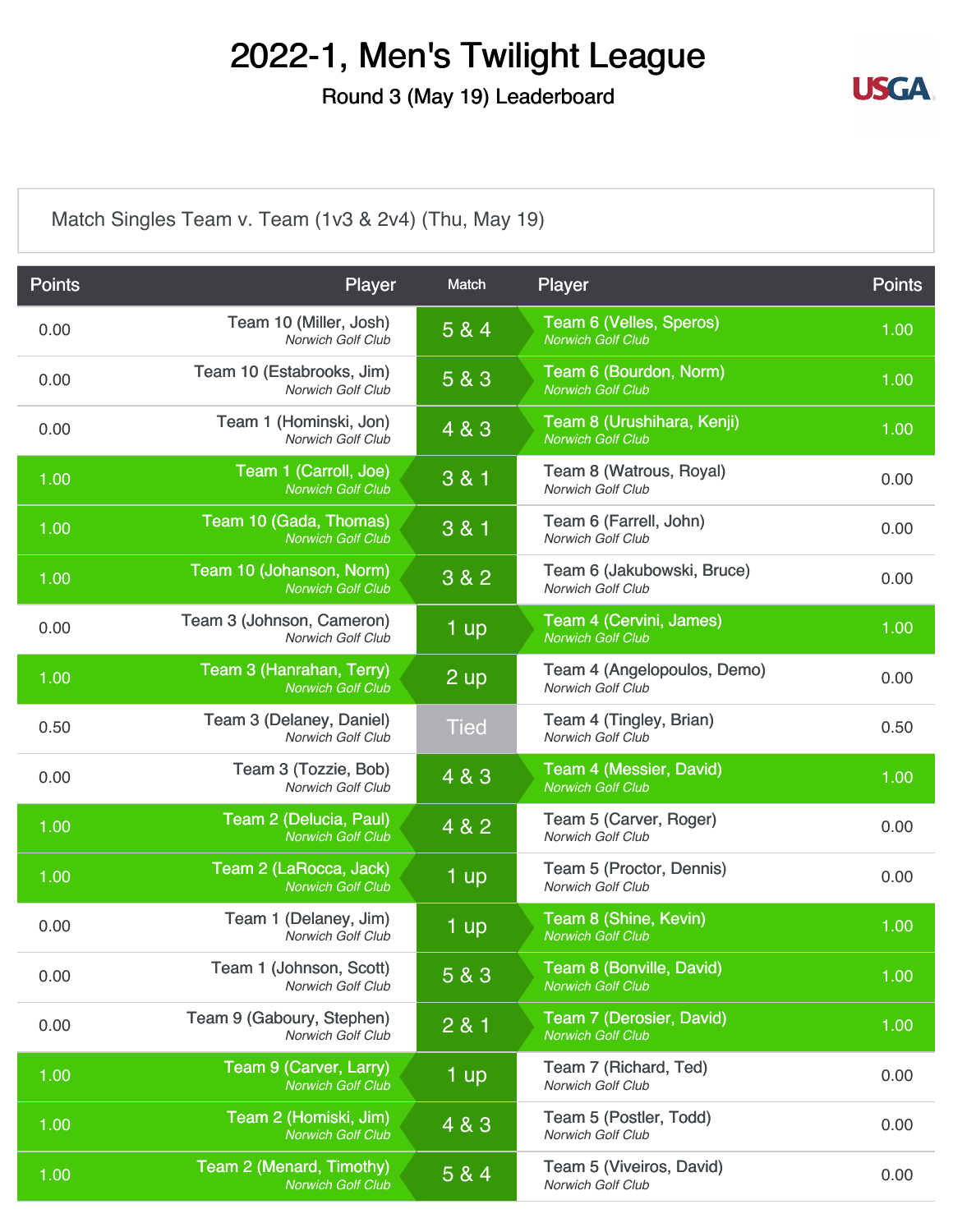Round 3 (May 19) Leaderboard



[Match Singles Team v. Team \(1v3 & 2v4\) \(Thu, May 19\)](https://static.golfgenius.com/v2tournaments/8326500899690152705?called_from=&round_index=3)

| <b>Points</b> | Player                                                | Match            | <b>Player</b>                                          | <b>Points</b> |
|---------------|-------------------------------------------------------|------------------|--------------------------------------------------------|---------------|
| 0.00          | Team 10 (Miller, Josh)<br>Norwich Golf Club           | 5 & 4            | Team 6 (Velles, Speros)<br><b>Norwich Golf Club</b>    | 1.00          |
| 0.00          | Team 10 (Estabrooks, Jim)<br><b>Norwich Golf Club</b> | 5 & 3            | Team 6 (Bourdon, Norm)<br><b>Norwich Golf Club</b>     | 1.00          |
| 0.00          | Team 1 (Hominski, Jon)<br>Norwich Golf Club           | $\overline{483}$ | Team 8 (Urushihara, Kenji)<br><b>Norwich Golf Club</b> | 1.00          |
| 1.00          | Team 1 (Carroll, Joe)<br><b>Norwich Golf Club</b>     | 3 & 1            | Team 8 (Watrous, Royal)<br>Norwich Golf Club           | 0.00          |
| 1.00          | Team 10 (Gada, Thomas)<br><b>Norwich Golf Club</b>    | 3 & 1            | Team 6 (Farrell, John)<br>Norwich Golf Club            | 0.00          |
| 1.00          | Team 10 (Johanson, Norm)<br><b>Norwich Golf Club</b>  | 3 & 2            | Team 6 (Jakubowski, Bruce)<br><b>Norwich Golf Club</b> | 0.00          |
| 0.00          | Team 3 (Johnson, Cameron)<br><b>Norwich Golf Club</b> | 1 up             | Team 4 (Cervini, James)<br><b>Norwich Golf Club</b>    | 1.00          |
| 1.00          | Team 3 (Hanrahan, Terry)<br><b>Norwich Golf Club</b>  | $2$ up           | Team 4 (Angelopoulos, Demo)<br>Norwich Golf Club       | 0.00          |
| 0.50          | Team 3 (Delaney, Daniel)<br><b>Norwich Golf Club</b>  | <b>Tied</b>      | Team 4 (Tingley, Brian)<br><b>Norwich Golf Club</b>    | 0.50          |
| 0.00          | Team 3 (Tozzie, Bob)<br>Norwich Golf Club             | 4 & 3            | Team 4 (Messier, David)<br><b>Norwich Golf Club</b>    | 1.00          |
| 1.00          | Team 2 (Delucia, Paul)<br><b>Norwich Golf Club</b>    | 4 & 2            | Team 5 (Carver, Roger)<br>Norwich Golf Club            | 0.00          |
| 1.00          | Team 2 (LaRocca, Jack)<br><b>Norwich Golf Club</b>    | $1$ up           | Team 5 (Proctor, Dennis)<br>Norwich Golf Club          | 0.00          |
| 0.00          | Team 1 (Delaney, Jim)<br>Norwich Golf Club            | $1$ up           | Team 8 (Shine, Kevin)<br><b>Norwich Golf Club</b>      | 1.00          |
| 0.00          | Team 1 (Johnson, Scott)<br>Norwich Golf Club          | 5 & 3            | Team 8 (Bonville, David)<br><b>Norwich Golf Club</b>   | 1.00          |
| 0.00          | Team 9 (Gaboury, Stephen)<br>Norwich Golf Club        | 2 & 1            | Team 7 (Derosier, David)<br><b>Norwich Golf Club</b>   | 1.00          |
| 1.00          | Team 9 (Carver, Larry)<br><b>Norwich Golf Club</b>    | 1 up             | Team 7 (Richard, Ted)<br>Norwich Golf Club             | 0.00          |
| 1.00          | Team 2 (Homiski, Jim)<br><b>Norwich Golf Club</b>     | 4 & 3            | Team 5 (Postler, Todd)<br>Norwich Golf Club            | 0.00          |
| 1.00          | Team 2 (Menard, Timothy)<br><b>Norwich Golf Club</b>  | 5 & 4            | Team 5 (Viveiros, David)<br>Norwich Golf Club          | 0.00          |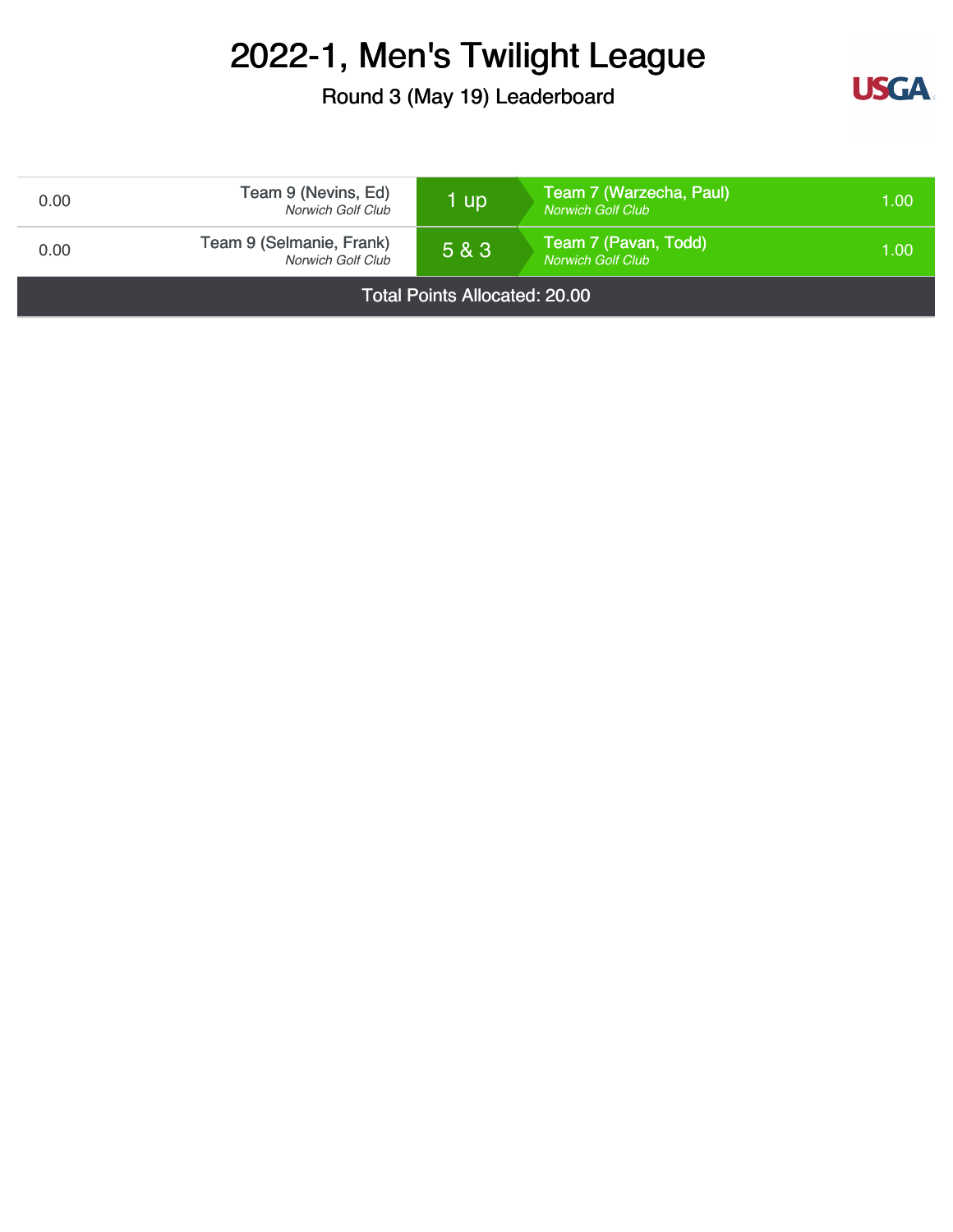Round 3 (May 19) Leaderboard



| 0.00                                 | Team 9 (Nevins, Ed)<br><b>Norwich Golf Club</b> | 1 up  | Team 7 (Warzecha, Paul)<br><b>Norwich Golf Club</b> | 1.00 |
|--------------------------------------|-------------------------------------------------|-------|-----------------------------------------------------|------|
| 0.00                                 | Team 9 (Selmanie, Frank)<br>Norwich Golf Club   | 5 & 3 | Team 7 (Pavan, Todd)<br><b>Norwich Golf Club</b>    | 1.00 |
| <b>Total Points Allocated: 20.00</b> |                                                 |       |                                                     |      |